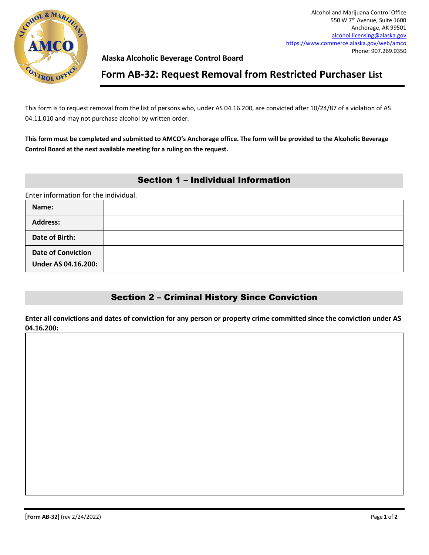

### **Alaska Alcoholic Beverage Control Board**

## **Form AB-32: Request Removal from Restricted Purchaser List**

This form is to request removal from the list of persons who, under AS 04.16.200, are convicted after 10/24/87 of a violation of AS 04.11.010 and may not purchase alcohol by written order.

**This form must be completed and submitted to AMCO's Anchorage office. The form will be provided to the Alcoholic Beverage Control Board at the next available meeting for a ruling on the request.**

### Section 1 – Individual Information

Enter information for the individual.

| Name:                                                   |  |
|---------------------------------------------------------|--|
| <b>Address:</b>                                         |  |
| Date of Birth:                                          |  |
| <b>Date of Conviction</b><br><b>Under AS 04.16.200:</b> |  |

## Section 2 – Criminal History Since Conviction

**Enter all convictions and dates of conviction for any person or property crime committed since the conviction under AS 04.16.200:**